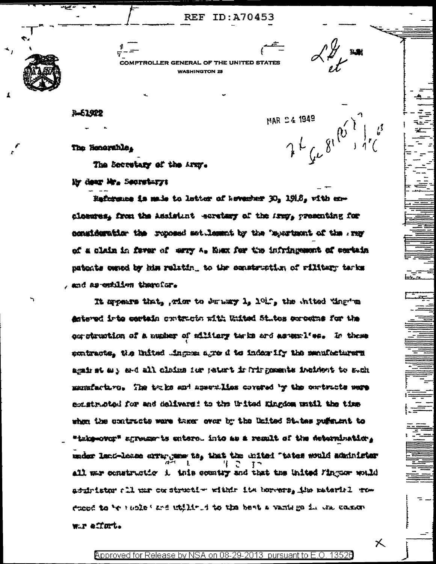**REF ID: A70453** 

 $7^{10^{10}}$ <br> $7^{10^{10}}$ 

乆

MAR 24 1949

COMPTROLLER GENERAL OF THE UNITED STATE WASHINGTON 25

3-61922

 $\mathbf{r}$ 

The Honorable.

The Secretary of the Army.

My dear Mr. Secretary:

Reference is main to letter of heverker 30, 1918, with exclosures, from the Assistant coretary of the stry, presenting for ponsideration the reposed set lemmat by the 'mportsont of the ray of a claim in fever of wary A. Numm for the infringement of cortain natents owned by him relating to the construction of rilitary terks , and as estilles therefor.

It myears that, wier to durany 1, 101%, the inited ting me Antered irts certain cratencia with United States servers for the our struction of a number of silitary tarks ard as early l'es. In these embracte, the United Singsem agre d to index ify the sensibiliters against as ard all cloims for patent in Tringments included to such manufacture. The truks and assemilies covered by the contracts were constructed for and delivers: to the United Kingdom until the time when the contracts were taker over by the United States puffaunt to "inke-over" agreements entered into as a result of the determination, under land-lease errangeme te, that the united "tates would administer all me construction is this country and that the United Finguar would adulristor all una constructive within its horeons, the meterisl row casse to be reslekted within i to the best a vanises in the common wir effort.

Approved for Release by NSA on 08-29-2013 pursuant to E.O. 13526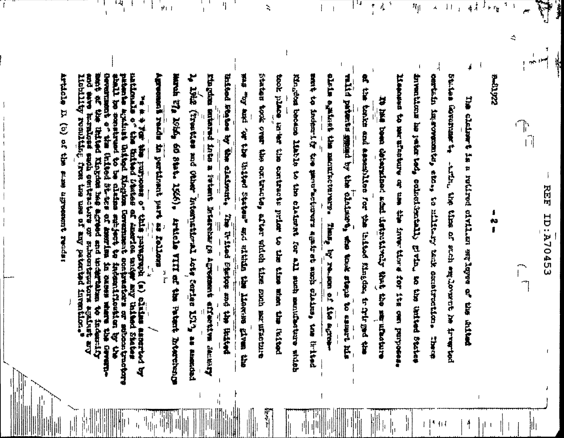内田 E2407A70453

22450-4

 $\mathcal{N}_{\text{eff}}$ 

⋞

h  $\begin{bmatrix} 1 \ 1 \end{bmatrix}$  E.

ť ر<br>ابريل į

 $\frac{1}{4}$ J

 $\mathbf{r}$  $\epsilon_{\rm f}$ 

> 8 ta<br>1

 $\frac{1}{4}$ į. **SALE ASSOCIATIONS** Lineard to me the second and the street the street the street part purpose inventions is juin tot, coincidentially givin, so the inited States certain impression of a militury tank construction. The elding is a success of the marked of the set in a success of Little, the cine of state group of the five Spaces

> Ã,  $\left| \cdot \right|$

 $\mathbf{u}$ 

 $\overline{\mathbf{S}}$ 

 $^{\sharp\sharp}$ 

Á

 $\frac{1}{2}$ 

 $\frac{1}{2}$ 

|||<br>|||<br>||||

l, litz (Tresties and Other International Acts Sories 1513, as amended Enforce singles by the claimath. Three work of the contribute, and all the miles which we have that the elets egainate the mannitreverse. which person against the claimer should the claim that the contract of the contract of the contract of the claim of the claim of the claim of the claim of the claim of the claim of the claim of the claim of the claim of th Agreement reads in pertinent part as follows Eingins surained into a Petersian's Agreement en Agreement en Einster de Scheider sent to index: it tre unus movimers again and anchor, Harda VI 1016, 60 8104 1566), Article VIII af ta i deta Tromeiscogn adi muli earmell wit altitu bus "setze bettel edi to" bus yo" and took place with early state of the three prisons when the the state stages becaus liable to the olaims for all small samidates witeb of the bolts and early both in the continuous final indicate, in the first state It like been deterstand admit detertively that the same also re-Tim Dritch forwards and the Hiller Thank, by relation of the agreem- $\frac{4}{1}$ **Line littles** 

부사람

va a s trans to the proposer of this paragreph (a) claims assessed by the continue of the continue of the second proposer is the continued of the first of the continued of the continued of the continued of the continued of and save kursloss sach contractors or annouteroriens agisst ary **SACTOR CALIFORNIA DESCRIPTION OF SACTOR CALIFORNIA CALIFORNIA CALIFORNIA CALIFORNIA CALIFORNIA CALIFORNIA CALIFORNIA CALIFORNIA CALIFORNIA CALIFORNIA CALIFORNIA CALIFORNIA CALIFORNIA CALIFORNIA CALIFORNIA CALIFORNIA CALIF** stream that the state of the stream  $\frac{1}{k}$ 

 $\leftarrow$ 

 $\frac{1}{4}$  $\frac{1}{2}$  $\mathbf{f}$  ।<br>|-<br>|हो ||

 $\mathbf{I}$ 

 $\frac{1}{1}$ 

 $\begin{array}{c} 1 \end{array}$ 

 $\ddot{a}$ 

Article D. (b) of the same agreement recose

Ŧ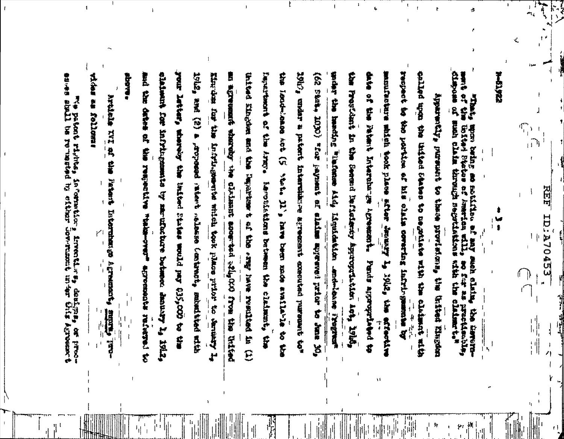and the pathology and the collection of the collect of the second and the second the second collection of the collection of the collection of the collection of the collection of the collection of the collection of the coll Agreement **DE TANT RO** 

victus an follomu **ROOM** Article TTE of the Faters Internation agreement, امہم **CERTIFY**  $\frac{1}{2}$ 

 $\mathbf{1}$ 

second the terminal position of his covering construction cling the intime was associed to the main the clinical selfort slations for infrigements by maritimide between boundary Ly 1912, your later, where you had the later than a bulld pay 635,000 to the lyil2, and (2) a , rosed and a contract compresion animisied with King the fame and accept the state of the state of the state of the state of the state of the state of the state of the state of the state of the state of the state of the state of the state of the state of the state of th United Kingdom and the Dapartment of the raw resulted in (1) Family are the Armoritan the lendination ask (5 big 11's fave them made availation of 1947, under a patent interuidade agenta exacutad puremat to" univer the mechanic "Valuation Aid Incontractors ... which is a result of the contractor the President in the Seems influstance depropriations and 1916, date of the Patent International Arcounting the of the state index of a state signal and the state of the state indice. matricken maint yook place were welch in really and 医花仁 化乙酸乙酸酯 医红斑 医小脑 医中枢性的 医大脑下颌 计数据数字分析程序 电识别的复数使过程 化反应性的 人名阿拉伯 an agreement where the claimant anounted ally GCO from this of Apparently purso to these provisions, the United Eingdam laroticalisms between the claiming, the Punts appropriated to **START CALL RISPLACE** ď Ķ

**Dispose on** 地域の やい 中華 **FRANCH** audi diaim through negotiations linitary Placement American still, work befall on soliding as any sach dising the German **PART THE GURMER TO THE CONTROL OF THE CONTROL OF THE CONTROL OF THE CONTROL OF THE CONTROL OF THE CONTROL OF T Channel** 

**REF ID.A704533** 

 $\mathbf{r}$ 

 $\mathbf{r}$ 

 $72413 - 4$ 

W<br>}

 $\frac{1}{\lambda}$ 

 $\begin{matrix} \mathbf{y} \\ \mathbf{y} \end{matrix}$ 

Ý.

 $\Phi_{\rm L}$ 

الرا

ż,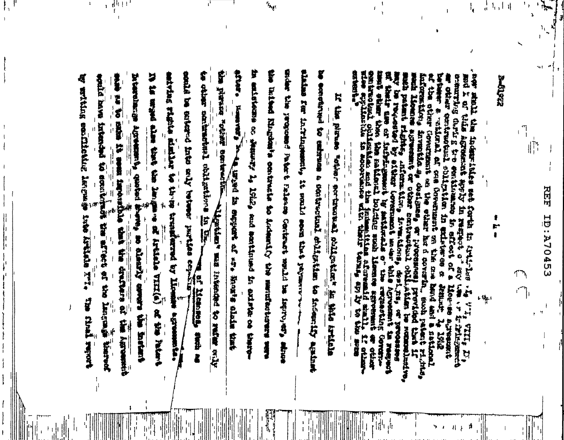习时 **ID:A70453** 

们

**Surgers** 

ी<br>स  $\mathcal{A}_\text{r}$  ,  $\mathcal{A}_\text{r}$ 

 $\frac{1}{2}$ 

đ

禁令者 复数红红 化苯甲 清武はず **Supplier of the state of the state of the state of the state of the state of the state of the state of the state of the state of the state of the state of the state of the state of the state of the state of the state of t** mot x or this aggement agety in megain the big online in and the first **PLUSH MANGER** ed termines of the 物 计算器 总统经理 長村 金沢町 覆 着气 REPORT TO THE THIRD 品牌消费 **TLANGER** w returning Eq. ombiguel shitmen in universe a that the satisfact tothing must liment with i invantio as designes, er processes) previesed Government on the where her a covering most patent righter The contract of the second second resolution of the contract of the second second second resolution of the second second second second second second second second second second second second second second second second sec enternational fr **SHA PARKERSHIP OF THE CARD ONE**  $\ddot{\mathbf{r}}$ Artist **ATHER** bitina afsreemid manil, ir other-**School**s of a 医红雪粒 **Ric** commentation in the first **THE PASS ARRIVE** License at  $+ \frac{1}{2}$  $\ddot{x}$ **SURFACES SOUTHERN AND ADDRESS Implies** Zener. 京都

计晶体

in anistana or demonstrate 14 1842, and sontinued in anista on the coŧ 具金属 **Basic Property Party THE R.P. TO THE SERVER OF STREET** assessed virtue to the collection and increase sa other markets forthermore in 石室 **The contrast of the Change of the Second Second Second Second Second Second Second Second Second Second Second Second Second Second Second Second Second Second Second Second Second Second Second Second Second Second Secon** by settling confirmation length tries into this in International Agreements quoted at perite baya intendet to somkindi 医叶飞管的 等效相应量 **EXECUTIVE** mental to estruce a contractant shiftstare t 新好 **N THE REFLECT** F 地理社 PERSONALLY STATES STATES Nagram's contractively to lederate and several 我国社会 经计算 一样 单 **BETWEEN Works we then the control of the state** I WAS IN STRAIGHT AN APP WORLD DINNE ■ 精神の理論 it sould soon that purserve **Articles** Except To Linear Conformer and production (see a **不可以** 《松陽川県西の赤谷 会員 代3番 **Particles A reference of the contract of the contract of the contract of the contract of the contract of the contract of the contract of the contract of the contract of the contract of the contract of the contract of the contract o** İF alently enviro the factors F iji<br>Ili 在 新鲜的 计数据 的复数医学 医心理 第12回 4 氏 医普通 中国 单项单位 古经验费坊工业 **REAL PART PART PARTS** str **Harpton Hill Charles Maried** the Agreement 算 黄色球 高 和 燃料等风 i 第六章

**Trage** 

्म<br>सुम्राम

 $\mathbf{r}$ 

 $\mathbf{r}$ 

é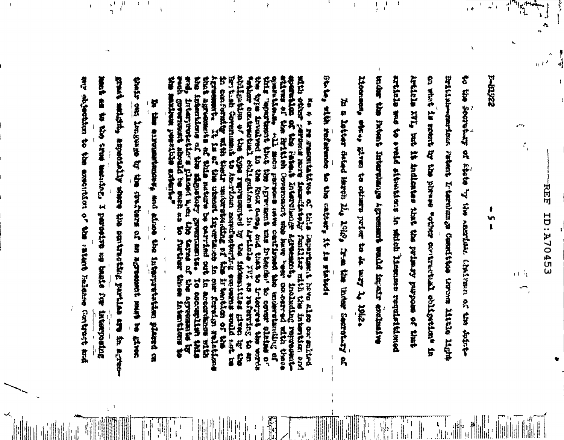**REF ESAPOTATO** 

 $\left\{ 1, 3 \right\}$ 

 $\mathcal{L}_{\mathbf{q}}$ 

22610-1

ł

ţŋ  $\mathbf{r}$ 

 $\mathbb{Z}^1$  i

 $\begin{pmatrix} 1 & 0 & 0 & 0 \\ 0 & 0 & 0 & 0 \\ 0 & 0 & 0 & 0 \\ 0 & 0 & 0 & 0 \\ 0 & 0 & 0 & 0 \\ 0 & 0 & 0 & 0 \\ 0 & 0 & 0 & 0 \\ 0 & 0 & 0 & 0 \\ 0 & 0 & 0 & 0 \\ 0 & 0 & 0 & 0 \\ 0 & 0 & 0 & 0 & 0 \\ 0 & 0 & 0 & 0 & 0 \\ 0 & 0 & 0 & 0 & 0 \\ 0 & 0 & 0 & 0 & 0 \\ 0 & 0 & 0 & 0 & 0 & 0 \\ 0 & 0 & 0 & 0 & 0 &$ 

on what is searly by the search every working the said the in to the secretarization in the maritain chainman of the solution the the international international specialist would imaginate article was to avail aitwaising in which licenses requisitioned Article XVI, but it indimite the time primary propose of that inglish-qantan Fatel Ketukang Committee the Sites light literate the at the crimin prime prime is defined in 1942.

 $\frac{1}{4}$  $\frac{1}{1}$  $\mathcal{A}$ 

 $\mathbf{I}$ 

Black with the statements the catterious for all in the second In a lutter dated learn lig 1845, from the under Secretary of

abliguation of the type regressived by the indemniture given by its form to the community of the community of the community of the community of the community of the community of the community of the community of the commun wanakisalaha Alla mosa perwana tang pendikung tahu melemekandung ter mith other persecs more immethately funiliser rish the interstor and<br>eperation of the Patest Diterchance Agreement, indinding represent-<br>stires of the Rrithal Coverneut was bere "eer can ordred with these ĥ icas tops inveloped in the Endx eases and that to interpret the worlds Î **ASSES** E for thish Coronnument to Austrian nempferent extens are examine would not her her the fact with the content of the content of the content of the content of the content of the content of the content of the content of the co 一般 川川 informations of the signatory governments to accountly to the state for the state of the state of the state of the state of the state of the state of the state of the state of the state of the state of the state of the sta We we are also consultatives of this caparitance. Nowe also also consulted **BIRS UNITED With First Relations**  $s^4$ ţ

ing the templature the the state state of the state state of the state of the state of the state of the state of the fact of the state of the statement and all the statement and the state hand as the the sheether. I part-the see that for the parts grads and, and a spootbelly share the contracting particles are in a great in the experimental diffusion of the targetter internation placed on

 $\frac{1}{2}$ 

 $\mathbf{A}^{\mathrm{eff}}$  $\mathbf{r}$